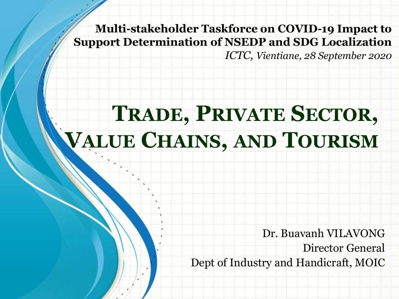**Multi-stakeholder Taskforce on COVID-19 Impact to Support Determination of NSEDP and SDG Localization** 

*ICTC, Vientiane, 28 September 2020*

# **TRADE, PRIVATE SECTOR, VALUE CHAINS, AND TOURISM**

Dr. Buavanh VILAVONG Director General Dept of Industry and Handicraft, MOIC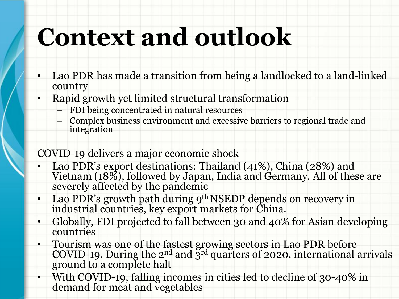# **Context and outlook**

- Lao PDR has made a transition from being a landlocked to a land-linked country
- Rapid growth yet limited structural transformation
	- FDI being concentrated in natural resources
	- Complex business environment and excessive barriers to regional trade and integration

#### COVID-19 delivers a major economic shock

- Lao PDR's export destinations: Thailand (41%), China (28%) and Vietnam (18%), followed by Japan, India and Germany. All of these are severely affected by the pandemic
- Lao PDR's growth path during 9<sup>th</sup> NSEDP depends on recovery in industrial countries, key export markets for China.
- Globally, FDI projected to fall between 30 and 40% for Asian developing countries
- Tourism was one of the fastest growing sectors in Lao PDR before COVID-19. During the  $2^{nd}$  and  $3^{rd}$  quarters of 2020, international arrivals ground to a complete halt
- With COVID-19, falling incomes in cities led to decline of 30-40% in demand for meat and vegetables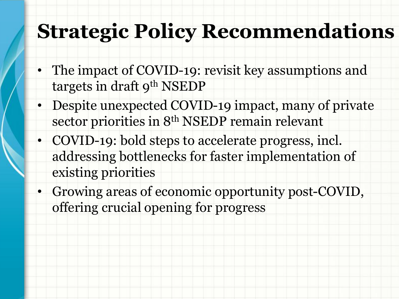#### **Strategic Policy Recommendations**

- The impact of COVID-19: revisit key assumptions and targets in draft 9<sup>th</sup> NSEDP
- Despite unexpected COVID-19 impact, many of private sector priorities in 8<sup>th</sup> NSEDP remain relevant
- COVID-19: bold steps to accelerate progress, incl. addressing bottlenecks for faster implementation of existing priorities
- Growing areas of economic opportunity post-COVID, offering crucial opening for progress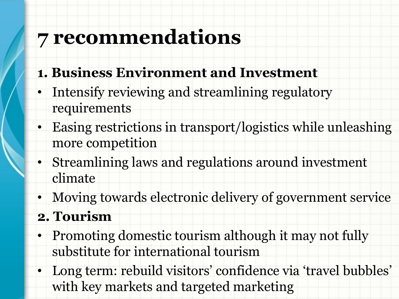### **7 recommendations**

- **1. Business Environment and Investment**
- Intensify reviewing and streamlining regulatory requirements
- Easing restrictions in transport/logistics while unleashing more competition
- Streamlining laws and regulations around investment climate
- Moving towards electronic delivery of government service
- **2. Tourism**
- Promoting domestic tourism although it may not fully substitute for international tourism
- Long term: rebuild visitors' confidence via 'travel bubbles' with key markets and targeted marketing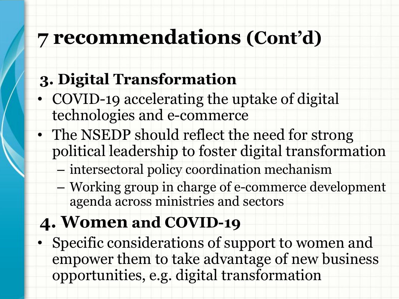## **7 recommendations (Cont'd)**

#### **3. Digital Transformation**

- COVID-19 accelerating the uptake of digital technologies and e-commerce
- The NSEDP should reflect the need for strong political leadership to foster digital transformation
	- intersectoral policy coordination mechanism
	- Working group in charge of e-commerce development agenda across ministries and sectors

#### **4. Women and COVID-19**

• Specific considerations of support to women and empower them to take advantage of new business opportunities, e.g. digital transformation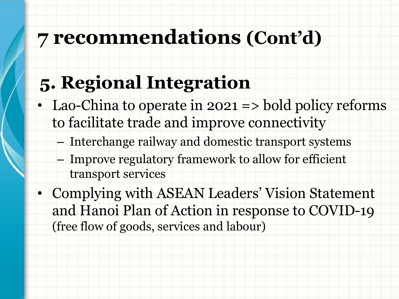### **7 recommendations (Cont'd)**

#### **5. Regional Integration**

- Lao-China to operate in 2021 => bold policy reforms to facilitate trade and improve connectivity
	- Interchange railway and domestic transport systems
	- Improve regulatory framework to allow for efficient transport services
- Complying with ASEAN Leaders' Vision Statement and Hanoi Plan of Action in response to COVID-19 (free flow of goods, services and labour)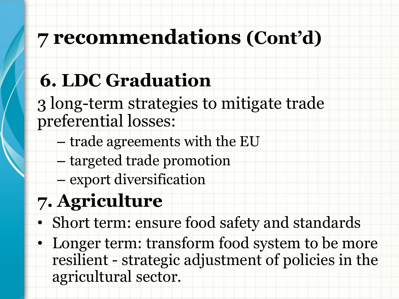# **7 recommendations (Cont'd)**

# **6. LDC Graduation**

3 long-term strategies to mitigate trade preferential losses:

- trade agreements with the EU
- targeted trade promotion
- export diversification

# **7. Agriculture**

- Short term: ensure food safety and standards
- Longer term: transform food system to be more resilient - strategic adjustment of policies in the agricultural sector.